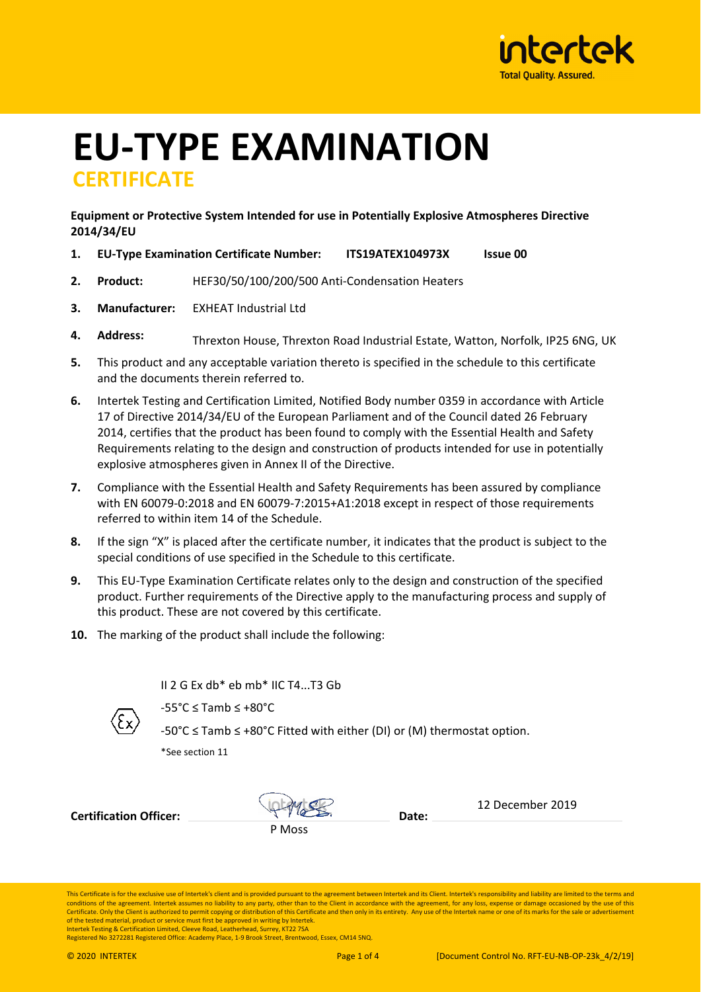

# **EU‐TYPE EXAMINATION CERTIFICATE**

## **Equipment or Protective System Intended for use in Potentially Explosive Atmospheres Directive 2014/34/EU**

- **1. EU‐Type Examination Certificate Number: ITS19ATEX104973X Issue 00**
- **2. Product:** HEF30/50/100/200/500 Anti‐Condensation Heaters
- **3. Manufacturer:** EXHEAT Industrial Ltd
- **4. Address:** Threxton House, Threxton Road Industrial Estate, Watton, Norfolk, IP25 6NG, UK
- **5.** This product and any acceptable variation thereto is specified in the schedule to this certificate and the documents therein referred to.
- **6.** Intertek Testing and Certification Limited, Notified Body number 0359 in accordance with Article 17 of Directive 2014/34/EU of the European Parliament and of the Council dated 26 February 2014, certifies that the product has been found to comply with the Essential Health and Safety Requirements relating to the design and construction of products intended for use in potentially explosive atmospheres given in Annex II of the Directive.
- **7.** Compliance with the Essential Health and Safety Requirements has been assured by compliance with EN 60079‐0:2018 and EN 60079‐7:2015+A1:2018 except in respect of those requirements referred to within item 14 of the Schedule.
- **8.** If the sign "X" is placed after the certificate number, it indicates that the product is subject to the special conditions of use specified in the Schedule to this certificate.
- **9.** This EU‐Type Examination Certificate relates only to the design and construction of the specified product. Further requirements of the Directive apply to the manufacturing process and supply of this product. These are not covered by this certificate.
- **10.** The marking of the product shall include the following:

II 2 G Ex db\* eb mb\* IIC T4...T3 Gb



‐55°C ≤ Tamb ≤ +80°C

‐50°C ≤ Tamb ≤ +80°C Fitted with either (DI) or (M) thermostat option.

\*See section 11

**Certification Officer: Date: Date:** 

P Moss  $intra$ 

12 December 2019

This Certificate is for the exclusive use of Intertek's client and is provided pursuant to the agreement between Intertek and its Client. Intertek's responsibility and liability are limited to the terms and conditions of the agreement. Intertek assumes no liability to any party, other than to the Client in accordance with the agreement, for any loss, expense or damage occasioned by the use of this Certificate. Only the Client is authorized to permit copying or distribution of this Certificate and then only in its entirety. Any use of the Intertek name or one of its marks for the sale or advertise of the tested material, product or service must first be approved in writing by Intertek. Intertek Testing & Certification Limited, Cleeve Road, Leatherhead, Surrey, KT22 7SA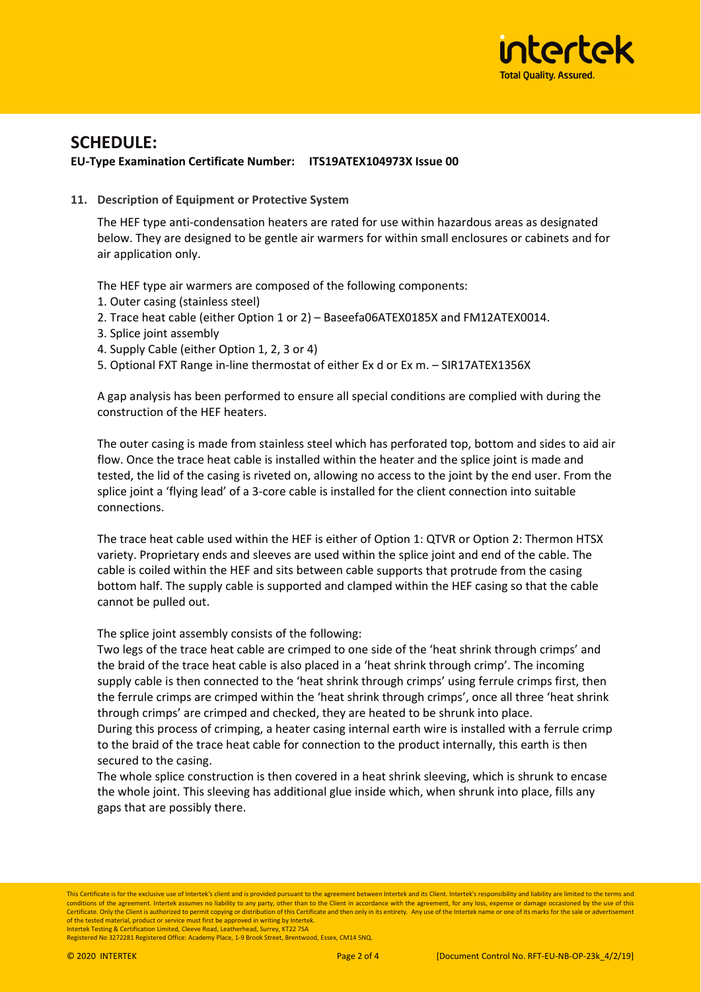

# **SCHEDULE:**

## **EU‐Type Examination Certificate Number: ITS19ATEX104973X Issue 00**

**11. Description of Equipment or Protective System**

The HEF type anti‐condensation heaters are rated for use within hazardous areas as designated below. They are designed to be gentle air warmers for within small enclosures or cabinets and for air application only.

The HEF type air warmers are composed of the following components:

- 1. Outer casing (stainless steel)
- 2. Trace heat cable (either Option 1 or 2) Baseefa06ATEX0185X and FM12ATEX0014.
- 3. Splice joint assembly
- 4. Supply Cable (either Option 1, 2, 3 or 4)
- 5. Optional FXT Range in-line thermostat of either Ex d or Ex m. SIR17ATEX1356X

A gap analysis has been performed to ensure all special conditions are complied with during the construction of the HEF heaters.

The outer casing is made from stainless steel which has perforated top, bottom and sides to aid air flow. Once the trace heat cable is installed within the heater and the splice joint is made and tested, the lid of the casing is riveted on, allowing no access to the joint by the end user. From the splice joint a 'flying lead' of a 3‐core cable is installed for the client connection into suitable connections.

The trace heat cable used within the HEF is either of Option 1: QTVR or Option 2: Thermon HTSX variety. Proprietary ends and sleeves are used within the splice joint and end of the cable. The cable is coiled within the HEF and sits between cable supports that protrude from the casing bottom half. The supply cable is supported and clamped within the HEF casing so that the cable cannot be pulled out.

The splice joint assembly consists of the following:

Two legs of the trace heat cable are crimped to one side of the 'heat shrink through crimps' and the braid of the trace heat cable is also placed in a 'heat shrink through crimp'. The incoming supply cable is then connected to the 'heat shrink through crimps' using ferrule crimps first, then the ferrule crimps are crimped within the 'heat shrink through crimps', once all three 'heat shrink through crimps' are crimped and checked, they are heated to be shrunk into place.

During this process of crimping, a heater casing internal earth wire is installed with a ferrule crimp to the braid of the trace heat cable for connection to the product internally, this earth is then secured to the casing.

The whole splice construction is then covered in a heat shrink sleeving, which is shrunk to encase the whole joint. This sleeving has additional glue inside which, when shrunk into place, fills any gaps that are possibly there.

This Certificate is for the exclusive use of Intertek's client and is provided pursuant to the agreement between Intertek and its Client. Intertek's responsibility and liability are limited to the terms and conditions of the agreement. Intertek assumes no liability to any party, other than to the Client in accordance with the agreement, for any loss, expense or damage occasioned by the use of this Certificate. Only the Client is authorized to permit copying or distribution of this Certificate and then only in its entirety. Any use of the Intertek name or one of its marks for the sale or advertise of the tested material, product or service must first be approved in writing by Intertek. Intertek Testing & Certification Limited, Cleeve Road, Leatherhead, Surrey, KT22 7SA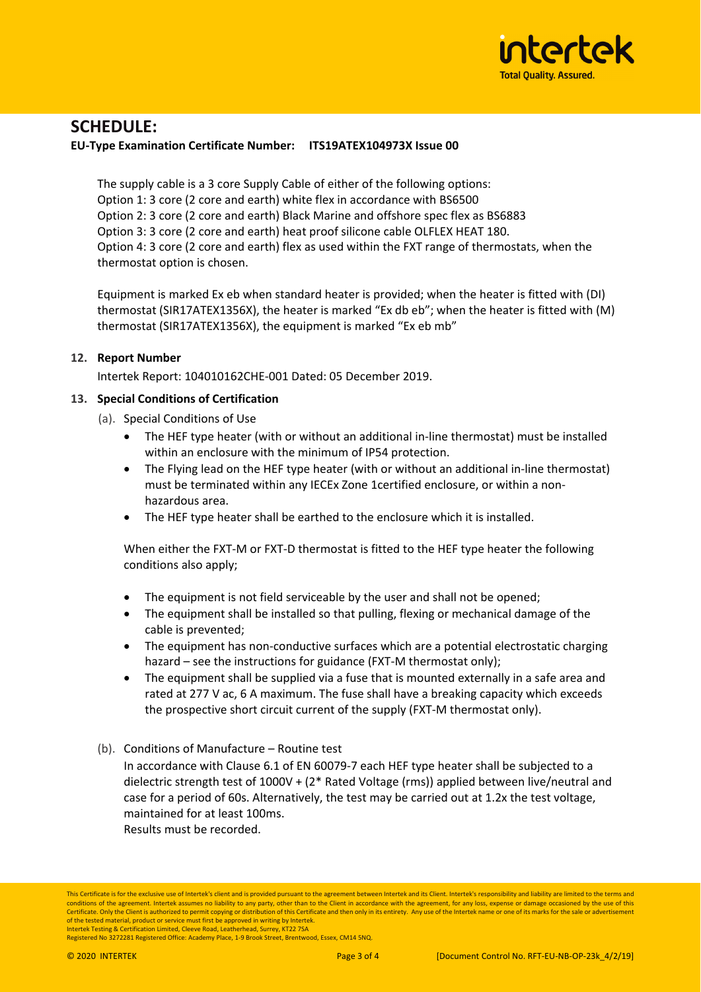

# **SCHEDULE:**

#### **EU‐Type Examination Certificate Number: ITS19ATEX104973X Issue 00**

The supply cable is a 3 core Supply Cable of either of the following options: Option 1: 3 core (2 core and earth) white flex in accordance with BS6500 Option 2: 3 core (2 core and earth) Black Marine and offshore spec flex as BS6883 Option 3: 3 core (2 core and earth) heat proof silicone cable OLFLEX HEAT 180. Option 4: 3 core (2 core and earth) flex as used within the FXT range of thermostats, when the thermostat option is chosen.

Equipment is marked Ex eb when standard heater is provided; when the heater is fitted with (DI) thermostat (SIR17ATEX1356X), the heater is marked "Ex db eb"; when the heater is fitted with (M) thermostat (SIR17ATEX1356X), the equipment is marked "Ex eb mb"

## **12. Report Number**

Intertek Report: 104010162CHE‐001 Dated: 05 December 2019.

## **13. Special Conditions of Certification**

- (a). Special Conditions of Use
	- The HEF type heater (with or without an additional in‐line thermostat) must be installed within an enclosure with the minimum of IP54 protection.
	- The Flying lead on the HEF type heater (with or without an additional in-line thermostat) must be terminated within any IECEx Zone 1certified enclosure, or within a non‐ hazardous area.
	- The HEF type heater shall be earthed to the enclosure which it is installed.

When either the FXT-M or FXT-D thermostat is fitted to the HEF type heater the following conditions also apply;

- The equipment is not field serviceable by the user and shall not be opened;
- The equipment shall be installed so that pulling, flexing or mechanical damage of the cable is prevented;
- The equipment has non‐conductive surfaces which are a potential electrostatic charging hazard – see the instructions for guidance (FXT-M thermostat only);
- The equipment shall be supplied via a fuse that is mounted externally in a safe area and rated at 277 V ac, 6 A maximum. The fuse shall have a breaking capacity which exceeds the prospective short circuit current of the supply (FXT-M thermostat only).
- (b). Conditions of Manufacture Routine test

In accordance with Clause 6.1 of EN 60079-7 each HEF type heater shall be subjected to a dielectric strength test of 1000V + (2\* Rated Voltage (rms)) applied between live/neutral and case for a period of 60s. Alternatively, the test may be carried out at 1.2x the test voltage, maintained for at least 100ms.

Results must be recorded.